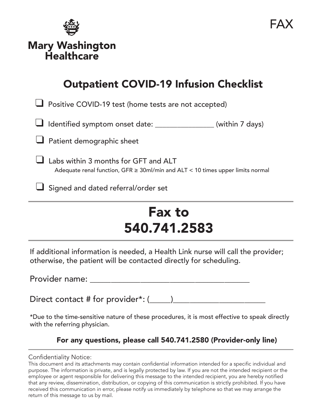

Mary Washington **Healthcare** 

# Outpatient COVID-19 Infusion Checklist

 $\Box$  Positive COVID-19 test (home tests are not accepted)

 $\Box$  Identified symptom onset date: \_\_\_\_\_\_\_\_\_\_\_\_\_\_\_ (within 7 days)

 $\Box$  Patient demographic sheet

 $\Box$  Labs within 3 months for GFT and ALT Adequate renal function, GFR  $\geq$  30ml/min and ALT < 10 times upper limits normal

 $\Box$  Signed and dated referral/order set

# Fax to 540.741.2583

If additional information is needed, a Health Link nurse will call the provider; otherwise, the patient will be contacted directly for scheduling.

Provider name: \_\_\_\_\_\_\_\_\_\_\_\_\_\_\_\_\_\_\_\_\_\_\_\_\_\_\_\_\_\_\_\_\_\_\_\_\_\_

Direct contact # for provider\*: (\_\_\_\_\_)\_\_\_\_\_\_\_\_\_\_\_\_\_\_\_\_\_\_\_\_\_\_

\*Due to the time-sensitive nature of these procedures, it is most effective to speak directly with the referring physician.

# For any questions, please call 540.741.2580 (Provider-only line)

# Confidentiality Notice:

This document and its attachments may contain confidential information intended for a specific individual and purpose. The information is private, and is legally protected by law. If you are not the intended recipient or the employee or agent responsible for delivering this message to the intended recipient, you are hereby notified that any review, dissemination, distribution, or copying of this communication is strictly prohibited. If you have received this communication in error, please notify us immediately by telephone so that we may arrange the return of this message to us by mail.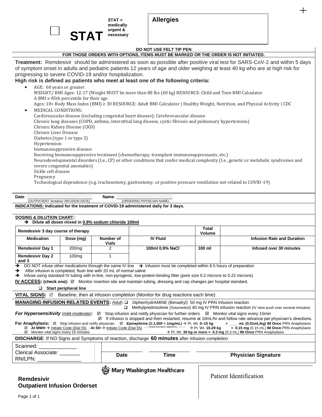**STAT = medically urgent & necessary**

# **DO NOT USE FELT TIP PEN**

# **FOR THOSE ORDERS WITH OPTIONS, ITEMS MUST BE MARKED OR THE ORDER IS NOT INITIATED.**

**Treatment:** Remdesivir should be administered as soon as possible after positive viral test for SARS-CoV-2 and within 5 days of symptom onset in adults and pediatric patients 12 years of age and older weighing at least 40 kg who are at high risk for progressing to severe COVID-19 and/or hospitalization.

# **High risk is defined as patients who meet at least one of the following criteria:**

AGE: 60 years or greater. WEIGHT/ BMI Ages: 12-17 (Weight MUST be more than 88 lbs (40 kg) RESOURCE: Child and Teen BMI Calculator A BMI  $\geq$  85th percentile for their age Ages: 18+ Body Mass Index (BMI) ≥ 30 RESOURCE: Adult BMI Calculator | Healthy Weight, Nutrition, and Physical Activity | CDC • MEDICAL CONDITIONS:

Cardiovascular disease (including congenital heart disease); Cerebrovascular disease Chronic lung diseases (COPD, asthma, interstitial lung disease, cystic fibrosis and pulmonary hypertension) Chronic Kidney Disease (CKD) Chronic Liver Disease Diabetes (type 1 or type 2) Hypertension Immunosuppressive disease: Receiving Immunosuppressive treatment (chemotherapy, transplant immunosuppressants, etc.) Neurodevelopmental disorders (I.e., CP) or other conditions that confer medical complexity (I.e., genetic or metabolic syndromes and severe congenital anomalies) Sickle cell disease Pregnancy Technological dependence (e.g. tracheostomy, gastrostomy, or positive pressure ventilation not related to COVID-19)

**Date**: **Name**: \_\_\_\_\_\_\_\_\_\_\_\_\_\_\_\_\_\_\_\_\_\_\_\_ (OUTPATIENT '*tentative'* INFUSION DATE) (ORDERING PHYSICIAN NAME)

**INDICATIONS: Indicated for the treatment of COVID-19 administered daily for 3 days.**

#### **DOSING & DILUTION CHART:**:

**STA** 

➔ **Dilute all doses mixed in 0.9% sodium chloride 100ml**

| Remdesivir 3 day course of therapy                                                                                                                                                                                                                                                                                                                                                                                                                                                                                                                                                                                                                                                                                                                                                                                                                                                                                                                                                                                                   |                   |                           |                                   | <b>Total</b><br><b>Volume</b> |                                   |  |  |  |
|--------------------------------------------------------------------------------------------------------------------------------------------------------------------------------------------------------------------------------------------------------------------------------------------------------------------------------------------------------------------------------------------------------------------------------------------------------------------------------------------------------------------------------------------------------------------------------------------------------------------------------------------------------------------------------------------------------------------------------------------------------------------------------------------------------------------------------------------------------------------------------------------------------------------------------------------------------------------------------------------------------------------------------------|-------------------|---------------------------|-----------------------------------|-------------------------------|-----------------------------------|--|--|--|
| <b>Medication</b>                                                                                                                                                                                                                                                                                                                                                                                                                                                                                                                                                                                                                                                                                                                                                                                                                                                                                                                                                                                                                    | Dose (mg)         | Number of<br><b>Vials</b> | <b>IV Fluid</b>                   |                               | <b>Infusion Rate and Duration</b> |  |  |  |
| <b>Remdesivir Day 1</b>                                                                                                                                                                                                                                                                                                                                                                                                                                                                                                                                                                                                                                                                                                                                                                                                                                                                                                                                                                                                              | 200 <sub>mg</sub> | 2                         | 100ml 0.9% NaCl                   | $100$ ml                      | Infused over 30 minutes           |  |  |  |
| <b>Remdesivir Day 2</b><br>and 3                                                                                                                                                                                                                                                                                                                                                                                                                                                                                                                                                                                                                                                                                                                                                                                                                                                                                                                                                                                                     | 100 <sub>mg</sub> | 1                         |                                   |                               |                                   |  |  |  |
| DO NOT infuse other medications through the same IV line $\rightarrow$ Infusion must be completed within 6.5 hours of preparation<br>→<br>After infusion is completed, flush line with 20 mL of normal saline<br>→<br>Infuse using standard IV tubing with in-line, non-pyrogenic, low-protein-binding filter (pore size 0.2 microns to 0.22 microns)<br>$\rightarrow$<br><b>IV ACCESS:</b> (check one): $\boxtimes$ Monitor insertion site and maintain tubing, dressing and cap changes per hospital standard.<br>$\Box$ Start peripheral line                                                                                                                                                                                                                                                                                                                                                                                                                                                                                     |                   |                           |                                   |                               |                                   |  |  |  |
| <b>VITAL SIGNS:</b> $\boxtimes$ Baseline, then at infusion completion (Monitor for drug reactions each time)                                                                                                                                                                                                                                                                                                                                                                                                                                                                                                                                                                                                                                                                                                                                                                                                                                                                                                                         |                   |                           |                                   |                               |                                   |  |  |  |
| <b>MANAGING INFUSION RELATED EVENTS:</b> Adult: Q DiphenhydrAMINE (Benadryl) 50 mg IV PRN Infusion reaction<br>$\Box$ Methylprednisolone (Solumedrol) 40 mg IV PRN infusion reaction (IV slow push over several minutes)<br><b>For Hypersensitivity</b> (mild-moderate): <b>Ø</b> Stop infusion and notify physician for further orders Ø Monitor vital signs every 15min<br>$\boxtimes$ If infusion is stopped and then restarted, resume at 10mL/hr and follow rate advance per physician's directions.<br>For Anaphylaxis: $\boxtimes$ Stop infusion and notify physician $\boxtimes$ Epinephrine (1:1,000 = 1mg/mL) $\rightarrow$ Pt. Wt. 0–15 kg = __mL (0.01mL/kg) IM Once PRN Anaphylaxis<br><b>⊠</b> At MWH → Initiate Code (Dial 55) ; At SH → Initiate Code (Dial 55) <sup>------ (PER PATIENT WEIGHT) ---------</sup> → Pt. Wt. 15-29 kg = 0.15 mg (0.15 mL) IM Once PRN Anaphylaxis<br>$\rightarrow$ Pt. Wt. 30 kg or more = 0.3 mg (0.3 mL) IM Once PRN Anaphylaxis<br>$\boxtimes$ Monitor vital signs every 15 minutes |                   |                           |                                   |                               |                                   |  |  |  |
| DISCHARGE: If NO Signs and Symptoms of reaction, discharge 60 minutes after infusion completion                                                                                                                                                                                                                                                                                                                                                                                                                                                                                                                                                                                                                                                                                                                                                                                                                                                                                                                                      |                   |                           |                                   |                               |                                   |  |  |  |
| Scanned:<br>Clerical Associate: _______                                                                                                                                                                                                                                                                                                                                                                                                                                                                                                                                                                                                                                                                                                                                                                                                                                                                                                                                                                                              |                   | <b>Date</b>               | Time                              |                               | <b>Physician Signature</b>        |  |  |  |
| <b>Remdesivir</b><br><b>Outpatient Infusion Orderset</b>                                                                                                                                                                                                                                                                                                                                                                                                                                                                                                                                                                                                                                                                                                                                                                                                                                                                                                                                                                             |                   |                           | <b>Mary Washington Healthcare</b> |                               | Patient Identification            |  |  |  |